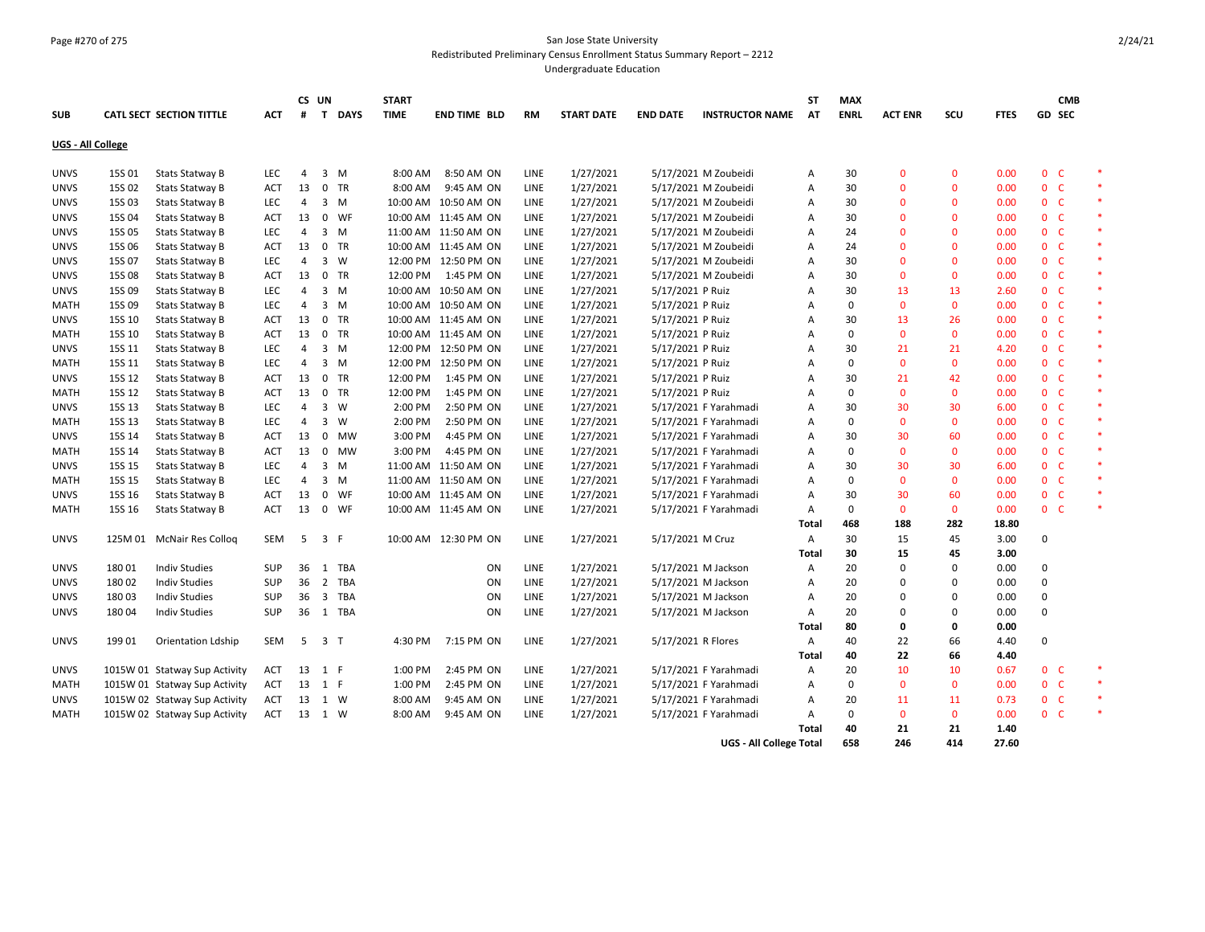## Page #270 of 275 San Jose State University Redistributed Preliminary Census Enrollment Status Summary Report – 2212

Undergraduate Education

|                   |               |                               | CS UN      |                |                | <b>START</b> |          |                        |             |                   |                    | ST                             | <b>MAX</b> |             |                |              |             | <b>CMB</b>     |        |        |
|-------------------|---------------|-------------------------------|------------|----------------|----------------|--------------|----------|------------------------|-------------|-------------------|--------------------|--------------------------------|------------|-------------|----------------|--------------|-------------|----------------|--------|--------|
| <b>SUB</b>        |               | CATL SECT SECTION TITTLE      | <b>ACT</b> | #              | $\mathbf{T}$   | <b>DAYS</b>  | TIME     | <b>END TIME BLD</b>    | RM          | <b>START DATE</b> | <b>END DATE</b>    | <b>INSTRUCTOR NAME</b>         | <b>AT</b>  | <b>ENRL</b> | <b>ACT ENR</b> | scu          | <b>FTES</b> |                | GD SEC |        |
| UGS - All College |               |                               |            |                |                |              |          |                        |             |                   |                    |                                |            |             |                |              |             |                |        |        |
| <b>UNVS</b>       | 15S 01        | <b>Stats Statway B</b>        | LEC        | 4              |                | $3 \, M$     | 8:00 AM  | 8:50 AM ON             | LINE        | 1/27/2021         |                    | 5/17/2021 M Zoubeidi           | Α          | 30          | $\Omega$       | $\Omega$     | 0.00        | 0 <sub>c</sub> |        | $\ast$ |
| <b>UNVS</b>       | 15S 02        | <b>Stats Statway B</b>        | ACT        | 13             |                | 0 TR         | 8:00 AM  | 9:45 AM ON             | LINE        | 1/27/2021         |                    | 5/17/2021 M Zoubeidi           | Α          | 30          | $\Omega$       | $\Omega$     | 0.00        | 0 <sub>c</sub> |        | $\ast$ |
| <b>UNVS</b>       | 15S 03        | <b>Stats Statway B</b>        | LEC        | 4              |                | $3 \, M$     |          | 10:00 AM 10:50 AM ON   | LINE        | 1/27/2021         |                    | 5/17/2021 M Zoubeidi           | Α          | 30          | $\Omega$       | $\Omega$     | 0.00        | $0-$           |        | $\ast$ |
| <b>UNVS</b>       | 15S 04        | <b>Stats Statway B</b>        | <b>ACT</b> | 13             |                | 0 WF         |          | 10:00 AM 11:45 AM ON   | LINE        | 1/27/2021         |                    | 5/17/2021 M Zoubeidi           | Α          | 30          | $\Omega$       | $\Omega$     | 0.00        | 0 <sup>o</sup> |        | $\ast$ |
| <b>UNVS</b>       | 15S 05        | <b>Stats Statway B</b>        | LEC        | 4              |                | $3 \, M$     |          | 11:00 AM 11:50 AM ON   | LINE        | 1/27/2021         |                    | 5/17/2021 M Zoubeidi           | A          | 24          | $\Omega$       | $\Omega$     | 0.00        | 0 <sup>o</sup> |        | $\ast$ |
| <b>UNVS</b>       | 15S 06        | <b>Stats Statway B</b>        | <b>ACT</b> | 13             |                | 0 TR         |          | 10:00 AM 11:45 AM ON   | LINE        | 1/27/2021         |                    | 5/17/2021 M Zoubeidi           | Α          | 24          | $\Omega$       | $\Omega$     | 0.00        | 0 <sup>o</sup> |        | $\ast$ |
| <b>UNVS</b>       | 15S 07        | <b>Stats Statway B</b>        | <b>LEC</b> | 4              |                | 3 W          |          | 12:00 PM 12:50 PM ON   | <b>LINE</b> | 1/27/2021         |                    | 5/17/2021 M Zoubeidi           | A          | 30          | $\Omega$       | $\Omega$     | 0.00        | 0 <sup>o</sup> |        | $\ast$ |
| <b>UNVS</b>       | 15S 08        | <b>Stats Statway B</b>        | <b>ACT</b> | 13             |                | 0 TR         | 12:00 PM | 1:45 PM ON             | LINE        | 1/27/2021         |                    | 5/17/2021 M Zoubeidi           | A          | 30          | $\mathbf{0}$   | $\mathbf{0}$ | 0.00        | 0 <sup>o</sup> |        | $\ast$ |
| <b>UNVS</b>       | 15S 09        | <b>Stats Statway B</b>        | <b>LEC</b> | 4              |                | $3 \, M$     |          | 10:00 AM  10:50 AM ON  | LINE        | 1/27/2021         | 5/17/2021 P Ruiz   |                                | Α          | 30          | 13             | 13           | 2.60        | 0 <sup>o</sup> |        | $\ast$ |
| <b>MATH</b>       | 15S 09        | <b>Stats Statway B</b>        | <b>LEC</b> | 4              |                | 3 M          |          | 10:00 AM  10:50 AM  ON | LINE        | 1/27/2021         | 5/17/2021 P Ruiz   |                                | А          | $\mathbf 0$ | $\mathbf{0}$   | $\Omega$     | 0.00        | 0 <sup>o</sup> |        | $\ast$ |
| <b>UNVS</b>       | 15S 10        | <b>Stats Statway B</b>        | <b>ACT</b> | 13             |                | 0 TR         |          | 10:00 AM 11:45 AM ON   | LINE        | 1/27/2021         | 5/17/2021 P Ruiz   |                                | A          | 30          | 13             | 26           | 0.00        | 0 <sup>o</sup> |        | $\ast$ |
| <b>MATH</b>       | <b>15S 10</b> | <b>Stats Statway B</b>        | <b>ACT</b> | 13             |                | 0 TR         |          | 10:00 AM 11:45 AM ON   | LINE        | 1/27/2021         | 5/17/2021 P Ruiz   |                                | A          | $\Omega$    | $\mathbf{0}$   | $\mathbf{0}$ | 0.00        | 0 <sup>o</sup> |        | $\ast$ |
| <b>UNVS</b>       | 15S 11        | Stats Statway B               | <b>LEC</b> | 4              |                | $3 \, M$     |          | 12:00 PM 12:50 PM ON   | <b>LINE</b> | 1/27/2021         | 5/17/2021 P Ruiz   |                                | А          | 30          | 21             | 21           | 4.20        | 0 <sup>o</sup> |        | $\ast$ |
| <b>MATH</b>       | 15S 11        | <b>Stats Statway B</b>        | <b>LEC</b> | $\overline{4}$ |                | $3 \, M$     |          | 12:00 PM 12:50 PM ON   | LINE        | 1/27/2021         | 5/17/2021 P Ruiz   |                                | A          | $\mathbf 0$ | $\mathbf{0}$   | $\mathbf{0}$ | 0.00        | 0 <sup>o</sup> |        | $\ast$ |
| <b>UNVS</b>       | 15S 12        | <b>Stats Statway B</b>        | <b>ACT</b> | 13             |                | $0$ TR       | 12:00 PM | 1:45 PM ON             | <b>LINE</b> | 1/27/2021         | 5/17/2021 P Ruiz   |                                | A          | 30          | 21             | 42           | 0.00        | $0-$           |        | $\ast$ |
| <b>MATH</b>       | 15S 12        | Stats Statway B               | <b>ACT</b> | 13             |                | 0 TR         | 12:00 PM | 1:45 PM ON             | <b>LINE</b> | 1/27/2021         | 5/17/2021 P Ruiz   |                                | Α          | $\mathbf 0$ | $\mathbf{0}$   | $\mathbf{0}$ | 0.00        | 0 <sup>o</sup> |        | $\ast$ |
| <b>UNVS</b>       | 15S 13        | <b>Stats Statway B</b>        | LEC        | 4              |                | 3 W          | 2:00 PM  | 2:50 PM ON             | LINE        | 1/27/2021         |                    | 5/17/2021 F Yarahmadi          | Α          | 30          | 30             | 30           | 6.00        | 0 <sub>c</sub> |        | $\ast$ |
| <b>MATH</b>       | 15S 13        | Stats Statway B               | <b>LEC</b> | 4              | $\mathbf{3}$   | W            | 2:00 PM  | 2:50 PM ON             | LINE        | 1/27/2021         |                    | 5/17/2021 F Yarahmadi          | Α          | $\Omega$    | $\mathbf 0$    | $\mathbf 0$  | 0.00        | 0 <sup>o</sup> |        | $\ast$ |
| <b>UNVS</b>       | 15S 14        | <b>Stats Statway B</b>        | <b>ACT</b> | 13             | $\mathbf 0$    | MW           | 3:00 PM  | 4:45 PM ON             | LINE        | 1/27/2021         |                    | 5/17/2021 F Yarahmadi          | Α          | 30          | 30             | 60           | 0.00        | 0 <sub>c</sub> |        | $\ast$ |
| <b>MATH</b>       | 15S 14        | <b>Stats Statway B</b>        | <b>ACT</b> | 13             | $\mathbf 0$    | MW           | 3:00 PM  | 4:45 PM ON             | LINE        | 1/27/2021         |                    | 5/17/2021 F Yarahmadi          | Α          | 0           | $\mathbf{0}$   | $\mathbf{0}$ | 0.00        | 0 <sub>c</sub> |        | $\ast$ |
| <b>UNVS</b>       | 15S 15        | <b>Stats Statway B</b>        | LEC        | 4              |                | $3 \, M$     |          | 11:00 AM 11:50 AM ON   | LINE        | 1/27/2021         |                    | 5/17/2021 F Yarahmadi          | Α          | 30          | 30             | 30           | 6.00        | 0 <sup>o</sup> |        | $\ast$ |
| <b>MATH</b>       | 15S 15        | Stats Statway B               | LEC        | $\overline{4}$ |                | $3 \, M$     |          | 11:00 AM 11:50 AM ON   | LINE        | 1/27/2021         |                    | 5/17/2021 F Yarahmadi          | Α          | 0           | $\mathbf{0}$   | $\mathbf{0}$ | 0.00        | 0 <sub>c</sub> |        | $\ast$ |
| <b>UNVS</b>       | 15S 16        | <b>Stats Statway B</b>        | ACT        | 13             | $\mathbf{0}$   | WF           |          | 10:00 AM 11:45 AM ON   | LINE        | 1/27/2021         |                    | 5/17/2021 F Yarahmadi          | Α          | 30          | 30             | 60           | 0.00        | 0 <sup>o</sup> |        | $\ast$ |
| <b>MATH</b>       | 15S 16        | <b>Stats Statway B</b>        | ACT        | 13             | $\mathbf 0$    | WF           |          | 10:00 AM 11:45 AM ON   | LINE        | 1/27/2021         |                    | 5/17/2021 F Yarahmadi          | Α          | 0           | $\mathbf{0}$   | $\mathbf{0}$ | 0.00        | 0 <sup>o</sup> |        | $\ast$ |
|                   |               |                               |            |                |                |              |          |                        |             |                   |                    |                                | Total      | 468         | 188            | 282          | 18.80       |                |        |        |
| <b>UNVS</b>       |               | 125M 01 McNair Res Colloq     | <b>SEM</b> | 5              | $\overline{3}$ | $\mathsf{F}$ |          | 10:00 AM 12:30 PM ON   | LINE        | 1/27/2021         | 5/17/2021 M Cruz   |                                | A          | 30          | 15             | 45           | 3.00        | 0              |        |        |
|                   |               |                               |            |                |                |              |          |                        |             |                   |                    |                                | Total      | 30          | 15             | 45           | 3.00        |                |        |        |
| <b>UNVS</b>       | 18001         | <b>Indiv Studies</b>          | <b>SUP</b> | 36             |                | 1 TBA        |          | ON                     | LINE        | 1/27/2021         |                    | 5/17/2021 M Jackson            | A          | 20          | 0              | 0            | 0.00        | 0              |        |        |
| <b>UNVS</b>       | 18002         | <b>Indiv Studies</b>          | SUP        | 36             | 2              | TBA          |          | ON                     | <b>LINE</b> | 1/27/2021         |                    | 5/17/2021 M Jackson            | A          | 20          | $\Omega$       | $\Omega$     | 0.00        | 0              |        |        |
| <b>UNVS</b>       | 18003         | <b>Indiv Studies</b>          | SUP        | 36             |                | 3 TBA        |          | ON                     | LINE        | 1/27/2021         |                    | 5/17/2021 M Jackson            | Α          | 20          | $\Omega$       | 0            | 0.00        | 0              |        |        |
| <b>UNVS</b>       | 180 04        | <b>Indiv Studies</b>          | <b>SUP</b> | 36             |                | 1 TBA        |          | ON                     | LINE        | 1/27/2021         |                    | 5/17/2021 M Jackson            | A          | 20          | $\Omega$       | 0            | 0.00        | 0              |        |        |
|                   |               |                               |            |                |                |              |          |                        |             |                   |                    |                                | Total      | 80          | $\Omega$       | $\mathbf{0}$ | 0.00        |                |        |        |
| <b>UNVS</b>       | 199 01        | <b>Orientation Ldship</b>     | <b>SEM</b> | 5              | 3 <sub>1</sub> |              | 4:30 PM  | 7:15 PM ON             | LINE        | 1/27/2021         | 5/17/2021 R Flores |                                | Α          | 40          | 22             | 66           | 4.40        | 0              |        |        |
|                   |               |                               |            |                |                |              |          |                        |             |                   |                    |                                | Total      | 40          | 22             | 66           | 4.40        |                |        |        |
| <b>UNVS</b>       |               | 1015W 01 Statway Sup Activity | <b>ACT</b> | 13             | 1 F            |              | 1:00 PM  | 2:45 PM ON             | <b>LINE</b> | 1/27/2021         |                    | 5/17/2021 F Yarahmadi          | A          | 20          | 10             | 10           | 0.67        | 0 <sup>o</sup> |        | $\ast$ |
| <b>MATH</b>       |               | 1015W 01 Statway Sup Activity | <b>ACT</b> |                | 13 1 F         |              | 1:00 PM  | 2:45 PM ON             | <b>LINE</b> | 1/27/2021         |                    | 5/17/2021 F Yarahmadi          | A          | $\Omega$    | $\Omega$       | $\Omega$     | 0.00        | 0 <sup>o</sup> |        | $\ast$ |
| <b>UNVS</b>       |               | 1015W 02 Statway Sup Activity | <b>ACT</b> | 13             | 1 W            |              | 8:00 AM  | 9:45 AM ON             | LINE        | 1/27/2021         |                    | 5/17/2021 F Yarahmadi          | A          | 20          | 11             | 11           | 0.73        | 0 <sub>c</sub> |        | $\ast$ |
| <b>MATH</b>       |               | 1015W 02 Statway Sup Activity | <b>ACT</b> | 13 1 W         |                |              | 8:00 AM  | 9:45 AM ON             | LINE        | 1/27/2021         |                    | 5/17/2021 F Yarahmadi          | A          | $\Omega$    | $\mathbf{0}$   | $\mathbf 0$  | 0.00        | 0 <sup>o</sup> |        | $\ast$ |
|                   |               |                               |            |                |                |              |          |                        |             |                   |                    |                                | Total      | 40          | 21             | 21           | 1.40        |                |        |        |
|                   |               |                               |            |                |                |              |          |                        |             |                   |                    | <b>UGS - All College Total</b> |            | 658         | 246            | 414          | 27.60       |                |        |        |

2/24/21